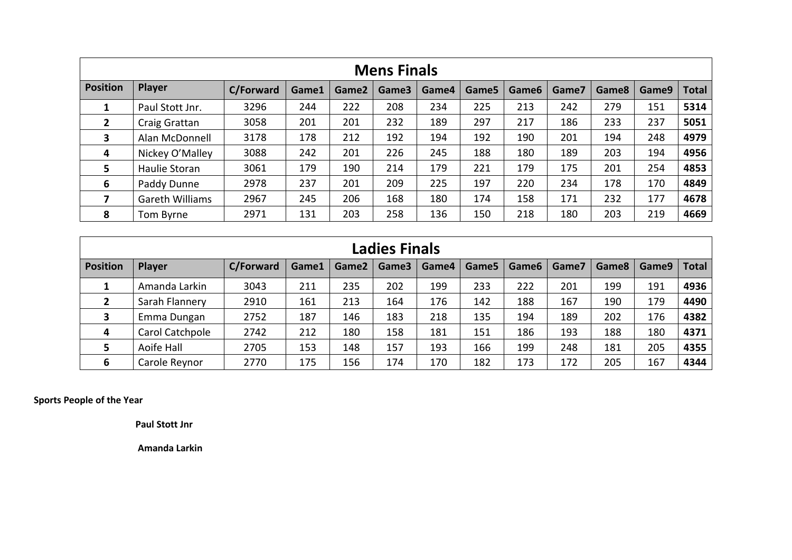|                 | <b>Mens Finals</b> |                  |       |       |       |       |       |                   |       |       |       |       |  |  |
|-----------------|--------------------|------------------|-------|-------|-------|-------|-------|-------------------|-------|-------|-------|-------|--|--|
| <b>Position</b> | Player             | <b>C/Forward</b> | Game1 | Game2 | Game3 | Game4 | Game5 | Game <sub>6</sub> | Game7 | Game8 | Game9 | Total |  |  |
| 1               | Paul Stott Jnr.    | 3296             | 244   | 222   | 208   | 234   | 225   | 213               | 242   | 279   | 151   | 5314  |  |  |
| $\mathbf{2}$    | Craig Grattan      | 3058             | 201   | 201   | 232   | 189   | 297   | 217               | 186   | 233   | 237   | 5051  |  |  |
| 3               | Alan McDonnell     | 3178             | 178   | 212   | 192   | 194   | 192   | 190               | 201   | 194   | 248   | 4979  |  |  |
| 4               | Nickey O'Malley    | 3088             | 242   | 201   | 226   | 245   | 188   | 180               | 189   | 203   | 194   | 4956  |  |  |
| 5               | Haulie Storan      | 3061             | 179   | 190   | 214   | 179   | 221   | 179               | 175   | 201   | 254   | 4853  |  |  |
| 6               | Paddy Dunne        | 2978             | 237   | 201   | 209   | 225   | 197   | 220               | 234   | 178   | 170   | 4849  |  |  |
| 7               | Gareth Williams    | 2967             | 245   | 206   | 168   | 180   | 174   | 158               | 171   | 232   | 177   | 4678  |  |  |
| 8               | Tom Byrne          | 2971             | 131   | 203   | 258   | 136   | 150   | 218               | 180   | 203   | 219   | 4669  |  |  |

|                 |                 |                  |       |       | <b>Ladies Finals</b> |       |       |                   |       |       |       |              |
|-----------------|-----------------|------------------|-------|-------|----------------------|-------|-------|-------------------|-------|-------|-------|--------------|
| <b>Position</b> | Player          | <b>C/Forward</b> | Game1 | Game2 | Game3                | Game4 | Game5 | Game <sub>6</sub> | Game7 | Game8 | Game9 | <b>Total</b> |
| 1               | Amanda Larkin   | 3043             | 211   | 235   | 202                  | 199   | 233   | 222               | 201   | 199   | 191   | 4936         |
| $\overline{2}$  | Sarah Flannery  | 2910             | 161   | 213   | 164                  | 176   | 142   | 188               | 167   | 190   | 179   | 4490         |
| 3               | Emma Dungan     | 2752             | 187   | 146   | 183                  | 218   | 135   | 194               | 189   | 202   | 176   | 4382         |
| 4               | Carol Catchpole | 2742             | 212   | 180   | 158                  | 181   | 151   | 186               | 193   | 188   | 180   | 4371         |
| 5               | Aoife Hall      | 2705             | 153   | 148   | 157                  | 193   | 166   | 199               | 248   | 181   | 205   | 4355         |
| 6               | Carole Reynor   | 2770             | 175   | 156   | 174                  | 170   | 182   | 173               | 172   | 205   | 167   | 4344         |

**Sports People of the Year**

**Paul Stott Jnr** 

**Amanda Larkin**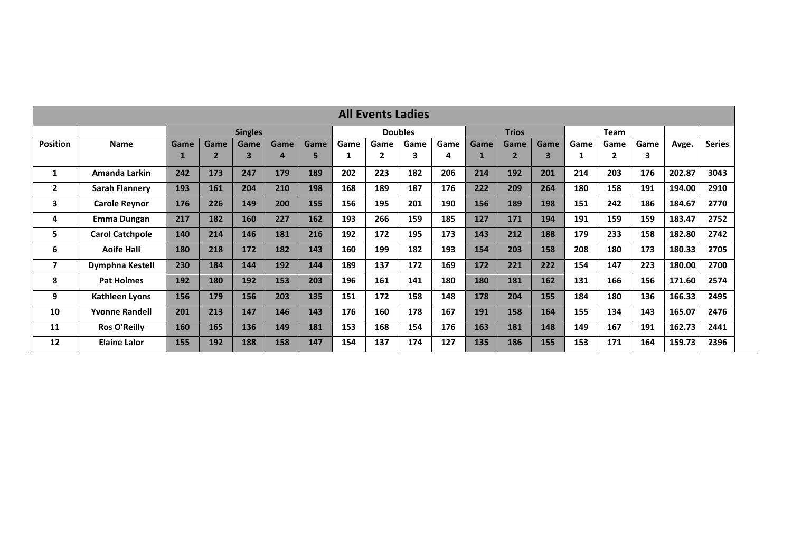| <b>All Events Ladies</b> |                                                                                                                               |      |      |                |      |      |      |                |      |      |              |                |      |      |      |      |        |               |
|--------------------------|-------------------------------------------------------------------------------------------------------------------------------|------|------|----------------|------|------|------|----------------|------|------|--------------|----------------|------|------|------|------|--------|---------------|
|                          |                                                                                                                               |      |      | <b>Singles</b> |      |      |      | <b>Doubles</b> |      |      | <b>Trios</b> |                |      |      | Team |      |        |               |
| <b>Position</b>          | Name                                                                                                                          | Game | Game | Game           | Game | Game | Game | Game           | Game | Game | Game         | Game           | Game | Game | Game | Game | Avge.  | <b>Series</b> |
|                          |                                                                                                                               | 1    |      | 3              | 4    | 5    |      | $\mathbf{2}$   | З    | 4    |              | $\overline{2}$ | 3    | 1    | 2    | 3    |        |               |
| 1                        | Amanda Larkin                                                                                                                 | 242  | 173  | 247            | 179  | 189  | 202  | 223            | 182  | 206  | 214          | 192            | 201  | 214  | 203  | 176  | 202.87 | 3043          |
| $\mathbf{2}$             | <b>Sarah Flannery</b>                                                                                                         | 193  | 161  | 204            | 210  | 198  | 168  | 189            | 187  | 176  | 222          | 209            | 264  | 180  | 158  | 191  | 194.00 | 2910          |
| 3                        | 226<br>200<br>155<br>156<br>195<br>201<br>190<br>156<br>151<br>242<br>176<br>189<br>198<br>186<br><b>Carole Reynor</b><br>149 |      |      |                |      |      |      |                |      |      | 184.67       | 2770           |      |      |      |      |        |               |
| 4                        | <b>Emma Dungan</b>                                                                                                            | 217  | 182  | 160            | 227  | 162  | 193  | 266            | 159  | 185  | 127          | 171            | 194  | 191  | 159  | 159  | 183.47 | 2752          |
| 5.                       | <b>Carol Catchpole</b>                                                                                                        | 140  | 214  | 146            | 181  | 216  | 192  | 172            | 195  | 173  | 143          | 212            | 188  | 179  | 233  | 158  | 182.80 | 2742          |
| 6                        | <b>Aoife Hall</b>                                                                                                             | 180  | 218  | 172            | 182  | 143  | 160  | 199            | 182  | 193  | 154          | 203            | 158  | 208  | 180  | 173  | 180.33 | 2705          |
| $\overline{ }$           | Dymphna Kestell                                                                                                               | 230  | 184  | 144            | 192  | 144  | 189  | 137            | 172  | 169  | 172          | 221            | 222  | 154  | 147  | 223  | 180.00 | 2700          |
| 8                        | <b>Pat Holmes</b>                                                                                                             | 192  | 180  | 192            | 153  | 203  | 196  | 161            | 141  | 180  | 180          | 181            | 162  | 131  | 166  | 156  | 171.60 | 2574          |
| 9                        | <b>Kathleen Lyons</b>                                                                                                         | 156  | 179  | 156            | 203  | 135  | 151  | 172            | 158  | 148  | 178          | 204            | 155  | 184  | 180  | 136  | 166.33 | 2495          |
| 10                       | <b>Yvonne Randell</b>                                                                                                         | 201  | 213  | 147            | 146  | 143  | 176  | 160            | 178  | 167  | 191          | 158            | 164  | 155  | 134  | 143  | 165.07 | 2476          |
| 11                       | <b>Ros O'Reilly</b>                                                                                                           | 160  | 165  | 136            | 149  | 181  | 153  | 168            | 154  | 176  | 163          | 181            | 148  | 149  | 167  | 191  | 162.73 | 2441          |
| 12                       | <b>Elaine Lalor</b>                                                                                                           | 155  | 192  | 188            | 158  | 147  | 154  | 137            | 174  | 127  | 135          | 186            | 155  | 153  | 171  | 164  | 159.73 | 2396          |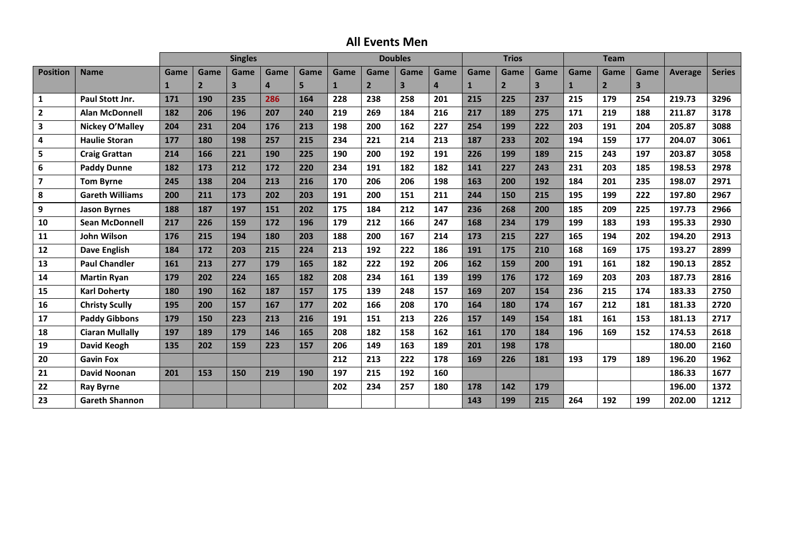## **All Events Men**

|                         |                        |      |                | <b>Singles</b>          |                |      |              |                | <b>Doubles</b>          |                |              | <b>Trios</b>   |                         |              | <b>Team</b>    |      |                |               |
|-------------------------|------------------------|------|----------------|-------------------------|----------------|------|--------------|----------------|-------------------------|----------------|--------------|----------------|-------------------------|--------------|----------------|------|----------------|---------------|
| <b>Position</b>         | <b>Name</b>            | Game | Game           | Game                    | Game           | Game | Game         | Game           | Game                    | Game           | Game         | Game           | Game                    | Game         | Game           | Game | <b>Average</b> | <b>Series</b> |
|                         |                        | 1    | $\overline{2}$ | $\overline{\mathbf{3}}$ | $\overline{a}$ | 5    | $\mathbf{1}$ | $\overline{2}$ | $\overline{\mathbf{3}}$ | $\overline{a}$ | $\mathbf{1}$ | $\overline{2}$ | $\overline{\mathbf{3}}$ | $\mathbf{1}$ | $\overline{2}$ | 3    |                |               |
| $\mathbf{1}$            | Paul Stott Jnr.        | 171  | 190            | 235                     | 286            | 164  | 228          | 238            | 258                     | 201            | 215          | 225            | 237                     | 215          | 179            | 254  | 219.73         | 3296          |
| $\overline{2}$          | <b>Alan McDonnell</b>  | 182  | 206            | 196                     | 207            | 240  | 219          | 269            | 184                     | 216            | 217          | 189            | 275                     | 171          | 219            | 188  | 211.87         | 3178          |
| 3                       | Nickey O'Malley        | 204  | 231            | 204                     | 176            | 213  | 198          | 200            | 162                     | 227            | 254          | 199            | 222                     | 203          | 191            | 204  | 205.87         | 3088          |
| 4                       | <b>Haulie Storan</b>   | 177  | 180            | 198                     | 257            | 215  | 234          | 221            | 214                     | 213            | 187          | 233            | 202                     | 194          | 159            | 177  | 204.07         | 3061          |
| 5                       | <b>Craig Grattan</b>   | 214  | 166            | 221                     | 190            | 225  | 190          | 200            | 192                     | 191            | 226          | 199            | 189                     | 215          | 243            | 197  | 203.87         | 3058          |
| 6                       | <b>Paddy Dunne</b>     | 182  | 173            | 212                     | 172            | 220  | 234          | 191            | 182                     | 182            | 141          | 227            | 243                     | 231          | 203            | 185  | 198.53         | 2978          |
| $\overline{\mathbf{z}}$ | <b>Tom Byrne</b>       | 245  | 138            | 204                     | 213            | 216  | 170          | 206            | 206                     | 198            | 163          | 200            | 192                     | 184          | 201            | 235  | 198.07         | 2971          |
| 8                       | <b>Gareth Williams</b> | 200  | 211            | 173                     | 202            | 203  | 191          | 200            | 151                     | 211            | 244          | 150            | 215                     | 195          | 199            | 222  | 197.80         | 2967          |
| 9                       | <b>Jason Byrnes</b>    | 188  | 187            | 197                     | 151            | 202  | 175          | 184            | 212                     | 147            | 236          | 268            | 200                     | 185          | 209            | 225  | 197.73         | 2966          |
| 10                      | <b>Sean McDonnell</b>  | 217  | 226            | 159                     | 172            | 196  | 179          | 212            | 166                     | 247            | 168          | 234            | 179                     | 199          | 183            | 193  | 195.33         | 2930          |
| 11                      | <b>John Wilson</b>     | 176  | 215            | 194                     | 180            | 203  | 188          | 200            | 167                     | 214            | 173          | 215            | 227                     | 165          | 194            | 202  | 194.20         | 2913          |
| 12                      | <b>Dave English</b>    | 184  | 172            | 203                     | 215            | 224  | 213          | 192            | 222                     | 186            | 191          | 175            | 210                     | 168          | 169            | 175  | 193.27         | 2899          |
| 13                      | <b>Paul Chandler</b>   | 161  | 213            | 277                     | 179            | 165  | 182          | 222            | 192                     | 206            | 162          | 159            | 200                     | 191          | 161            | 182  | 190.13         | 2852          |
| 14                      | <b>Martin Ryan</b>     | 179  | 202            | 224                     | 165            | 182  | 208          | 234            | 161                     | 139            | 199          | 176            | 172                     | 169          | 203            | 203  | 187.73         | 2816          |
| 15                      | <b>Karl Doherty</b>    | 180  | 190            | 162                     | 187            | 157  | 175          | 139            | 248                     | 157            | 169          | 207            | 154                     | 236          | 215            | 174  | 183.33         | 2750          |
| 16                      | <b>Christy Scully</b>  | 195  | 200            | 157                     | 167            | 177  | 202          | 166            | 208                     | 170            | 164          | 180            | 174                     | 167          | 212            | 181  | 181.33         | 2720          |
| 17                      | <b>Paddy Gibbons</b>   | 179  | 150            | 223                     | 213            | 216  | 191          | 151            | 213                     | 226            | 157          | 149            | 154                     | 181          | 161            | 153  | 181.13         | 2717          |
| 18                      | <b>Ciaran Mullally</b> | 197  | 189            | 179                     | 146            | 165  | 208          | 182            | 158                     | 162            | 161          | 170            | 184                     | 196          | 169            | 152  | 174.53         | 2618          |
| 19                      | <b>David Keogh</b>     | 135  | 202            | 159                     | 223            | 157  | 206          | 149            | 163                     | 189            | 201          | 198            | 178                     |              |                |      | 180.00         | 2160          |
| 20                      | <b>Gavin Fox</b>       |      |                |                         |                |      | 212          | 213            | 222                     | 178            | 169          | 226            | 181                     | 193          | 179            | 189  | 196.20         | 1962          |
| 21                      | <b>David Noonan</b>    | 201  | 153            | 150                     | 219            | 190  | 197          | 215            | 192                     | 160            |              |                |                         |              |                |      | 186.33         | 1677          |
| 22                      | <b>Ray Byrne</b>       |      |                |                         |                |      | 202          | 234            | 257                     | 180            | 178          | 142            | 179                     |              |                |      | 196.00         | 1372          |
| 23                      | <b>Gareth Shannon</b>  |      |                |                         |                |      |              |                |                         |                | 143          | 199            | 215                     | 264          | 192            | 199  | 202.00         | 1212          |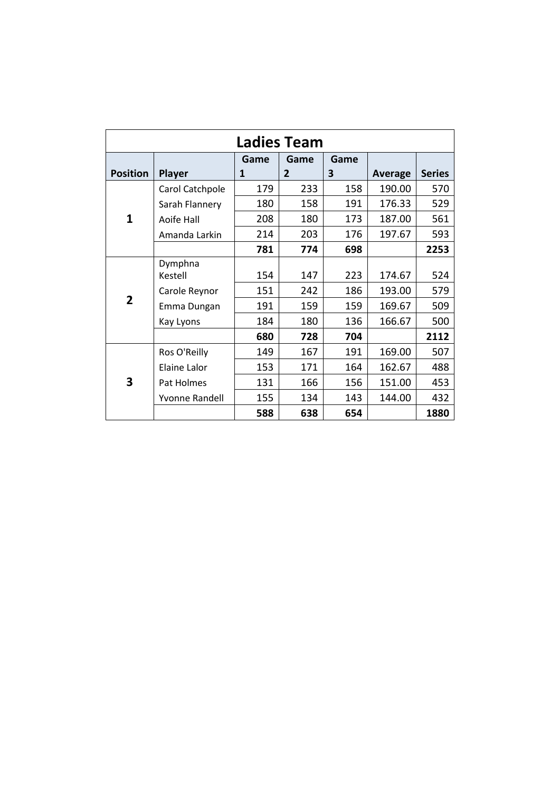|                 |                     |      | <b>Ladies Team</b> |      |         |               |
|-----------------|---------------------|------|--------------------|------|---------|---------------|
|                 |                     | Game | Game               | Game |         |               |
| <b>Position</b> | <b>Player</b>       | 1    | $\overline{2}$     | 3    | Average | <b>Series</b> |
|                 | Carol Catchpole     | 179  | 233                | 158  | 190.00  | 570           |
|                 | Sarah Flannery      | 180  | 158                | 191  | 176.33  | 529           |
| $\mathbf{1}$    | Aoife Hall          | 208  | 180                | 173  | 187.00  | 561           |
|                 | Amanda Larkin       | 214  | 203                | 176  | 197.67  | 593           |
|                 |                     | 781  | 774                | 698  |         | 2253          |
|                 | Dymphna             |      |                    |      |         |               |
|                 | Kestell             | 154  | 147                | 223  | 174.67  | 524           |
|                 | Carole Reynor       | 151  | 242                | 186  | 193.00  | 579           |
| $\overline{2}$  | Emma Dungan         | 191  | 159                | 159  | 169.67  | 509           |
|                 | Kay Lyons           | 184  | 180                | 136  | 166.67  | 500           |
|                 |                     | 680  | 728                | 704  |         | 2112          |
|                 | Ros O'Reilly        | 149  | 167                | 191  | 169.00  | 507           |
|                 | <b>Elaine Lalor</b> | 153  | 171                | 164  | 162.67  | 488           |
| 3               | Pat Holmes          | 131  | 166                | 156  | 151.00  | 453           |
|                 | Yvonne Randell      | 155  | 134                | 143  | 144.00  | 432           |
|                 |                     | 588  | 638                | 654  |         | 1880          |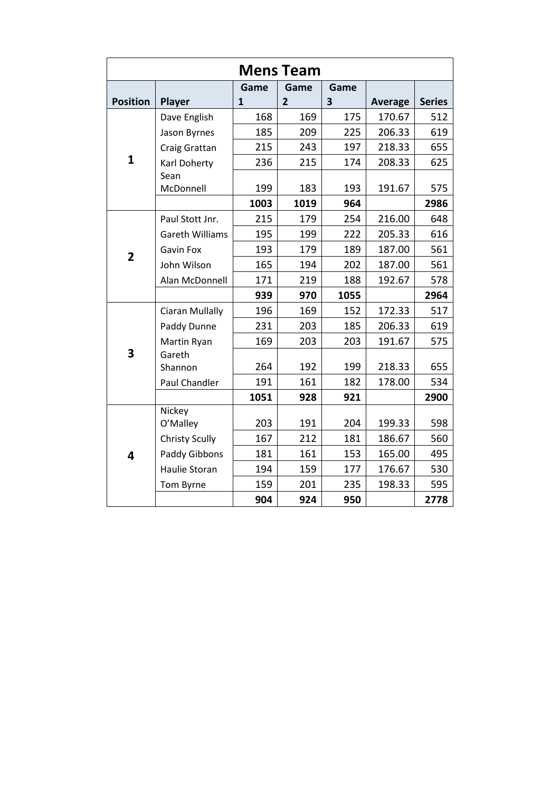|                         |                        |              | <b>Mens Team</b> |      |                |               |
|-------------------------|------------------------|--------------|------------------|------|----------------|---------------|
|                         |                        | Game         | Game             | Game |                |               |
| <b>Position</b>         | Player                 | $\mathbf{1}$ | $\overline{2}$   | 3    | <b>Average</b> | <b>Series</b> |
|                         | Dave English           | 168          | 169              | 175  | 170.67         | 512           |
|                         | Jason Byrnes           | 185          | 209              | 225  | 206.33         | 619           |
|                         | Craig Grattan          | 215          | 243              | 197  | 218.33         | 655           |
| $\mathbf{1}$            | Karl Doherty           | 236          | 215              | 174  | 208.33         | 625           |
|                         | Sean                   |              |                  |      |                |               |
|                         | McDonnell              | 199          | 183              | 193  | 191.67         | 575           |
|                         |                        | 1003         | 1019             | 964  |                | 2986          |
|                         | Paul Stott Jnr.        | 215          | 179              | 254  | 216.00         | 648           |
|                         | <b>Gareth Williams</b> | 195          | 199              | 222  | 205.33         | 616           |
| $\overline{2}$          | <b>Gavin Fox</b>       | 193          | 179              | 189  | 187.00         | 561           |
|                         | John Wilson            | 165          | 194              | 202  | 187.00         | 561           |
|                         | Alan McDonnell         | 171          | 219              | 188  | 192.67         | 578           |
|                         |                        | 939          | 970              | 1055 |                | 2964          |
|                         | <b>Ciaran Mullally</b> | 196          | 169              | 152  | 172.33         | 517           |
|                         | Paddy Dunne            | 231          | 203              | 185  | 206.33         | 619           |
|                         | Martin Ryan            | 169          | 203              | 203  | 191.67         | 575           |
| $\overline{\mathbf{3}}$ | Gareth                 |              |                  |      |                |               |
|                         | Shannon                | 264          | 192              | 199  | 218.33         | 655           |
|                         | <b>Paul Chandler</b>   | 191          | 161              | 182  | 178.00         | 534           |
|                         |                        | 1051         | 928              | 921  |                | 2900          |
|                         | Nickey                 |              |                  |      |                |               |
|                         | O'Malley               | 203          | 191              | 204  | 199.33         | 598           |
|                         | <b>Christy Scully</b>  | 167          | 212              | 181  | 186.67         | 560           |
| 4                       | Paddy Gibbons          | 181          | 161              | 153  | 165.00         | 495           |
|                         | Haulie Storan          | 194          | 159              | 177  | 176.67         | 530           |
|                         | Tom Byrne              | 159          | 201              | 235  | 198.33         | 595           |
|                         |                        | 904          | 924              | 950  |                | 2778          |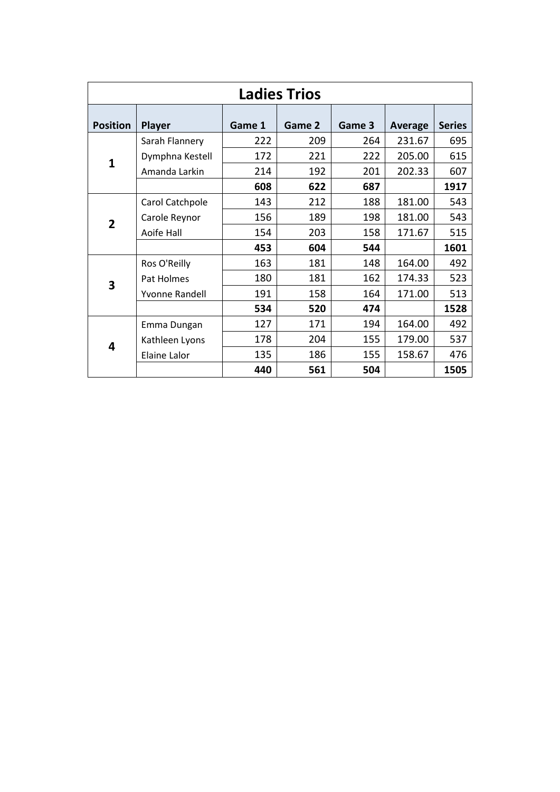|                 |                 |        | <b>Ladies Trios</b> |        |         |               |
|-----------------|-----------------|--------|---------------------|--------|---------|---------------|
| <b>Position</b> | <b>Player</b>   | Game 1 | Game 2              | Game 3 | Average | <b>Series</b> |
|                 | Sarah Flannery  | 222    | 209                 | 264    | 231.67  | 695           |
| 1               | Dymphna Kestell | 172    | 221                 | 222    | 205.00  | 615           |
|                 | Amanda Larkin   | 214    | 192                 | 201    | 202.33  | 607           |
|                 |                 | 608    | 622                 | 687    |         | 1917          |
|                 | Carol Catchpole | 143    | 212                 | 188    | 181.00  | 543           |
| $\overline{2}$  | Carole Reynor   | 156    | 189                 | 198    | 181.00  | 543           |
|                 | Aoife Hall      | 154    | 203                 | 158    | 171.67  | 515           |
|                 |                 | 453    | 604                 | 544    |         | 1601          |
|                 | Ros O'Reilly    | 163    | 181                 | 148    | 164.00  | 492           |
| 3               | Pat Holmes      | 180    | 181                 | 162    | 174.33  | 523           |
|                 | Yvonne Randell  | 191    | 158                 | 164    | 171.00  | 513           |
|                 |                 | 534    | 520                 | 474    |         | 1528          |
|                 | Emma Dungan     | 127    | 171                 | 194    | 164.00  | 492           |
| 4               | Kathleen Lyons  | 178    | 204                 | 155    | 179.00  | 537           |
|                 | Elaine Lalor    | 135    | 186                 | 155    | 158.67  | 476           |
|                 |                 | 440    | 561                 | 504    |         | 1505          |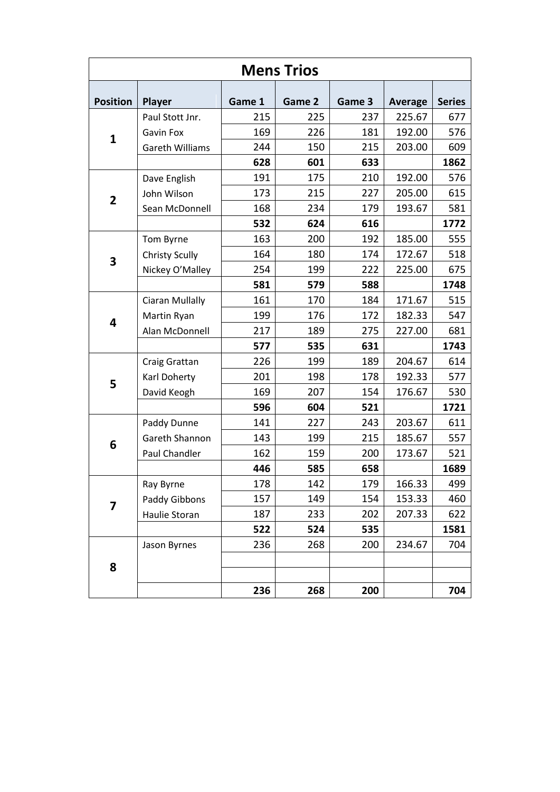|                         |                        |        | <b>Mens Trios</b> |        |         |               |
|-------------------------|------------------------|--------|-------------------|--------|---------|---------------|
| <b>Position</b>         | <b>Player</b>          | Game 1 | Game 2            | Game 3 | Average | <b>Series</b> |
|                         | Paul Stott Jnr.        | 215    | 225               | 237    | 225.67  | 677           |
| 1                       | Gavin Fox              | 169    | 226               | 181    | 192.00  | 576           |
|                         | <b>Gareth Williams</b> | 244    | 150               | 215    | 203.00  | 609           |
|                         |                        | 628    | 601               | 633    |         | 1862          |
|                         | Dave English           | 191    | 175               | 210    | 192.00  | 576           |
| $\overline{2}$          | John Wilson            | 173    | 215               | 227    | 205.00  | 615           |
|                         | Sean McDonnell         | 168    | 234               | 179    | 193.67  | 581           |
|                         |                        | 532    | 624               | 616    |         | 1772          |
|                         | Tom Byrne              | 163    | 200               | 192    | 185.00  | 555           |
|                         | <b>Christy Scully</b>  | 164    | 180               | 174    | 172.67  | 518           |
| 3                       | Nickey O'Malley        | 254    | 199               | 222    | 225.00  | 675           |
|                         |                        | 581    | 579               | 588    |         | 1748          |
|                         | Ciaran Mullally        | 161    | 170               | 184    | 171.67  | 515           |
| $\overline{\mathbf{4}}$ | Martin Ryan            | 199    | 176               | 172    | 182.33  | 547           |
|                         | Alan McDonnell         | 217    | 189               | 275    | 227.00  | 681           |
|                         |                        | 577    | 535               | 631    |         | 1743          |
|                         | Craig Grattan          | 226    | 199               | 189    | 204.67  | 614           |
| 5                       | Karl Doherty           | 201    | 198               | 178    | 192.33  | 577           |
|                         | David Keogh            | 169    | 207               | 154    | 176.67  | 530           |
|                         |                        | 596    | 604               | 521    |         | 1721          |
|                         | Paddy Dunne            | 141    | 227               | 243    | 203.67  | 611           |
| 6                       | Gareth Shannon         | 143    | 199               | 215    | 185.67  | 557           |
|                         | Paul Chandler          | 162    | 159               | 200    | 173.67  | 521           |
|                         |                        | 446    | 585               | 658    |         | 1689          |
|                         | Ray Byrne              | 178    | 142               | 179    | 166.33  | 499           |
| $\overline{\mathbf{z}}$ | Paddy Gibbons          | 157    | 149               | 154    | 153.33  | 460           |
|                         | Haulie Storan          | 187    | 233               | 202    | 207.33  | 622           |
|                         |                        | 522    | 524               | 535    |         | 1581          |
|                         | Jason Byrnes           | 236    | 268               | 200    | 234.67  | 704           |
| 8                       |                        |        |                   |        |         |               |
|                         |                        |        |                   |        |         |               |
|                         |                        | 236    | 268               | 200    |         | 704           |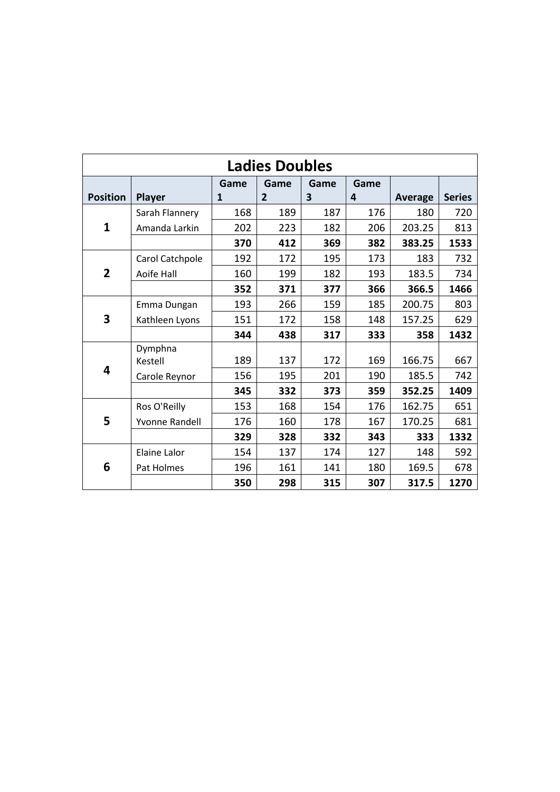|                 |                       |      | <b>Ladies Doubles</b> |      |      |                |               |
|-----------------|-----------------------|------|-----------------------|------|------|----------------|---------------|
|                 |                       | Game | Game                  | Game | Game |                |               |
| <b>Position</b> | Player                | 1    | $\overline{2}$        | 3    | 4    | <b>Average</b> | <b>Series</b> |
|                 | Sarah Flannery        | 168  | 189                   | 187  | 176  | 180            | 720           |
| $\mathbf{1}$    | Amanda Larkin         | 202  | 223                   | 182  | 206  | 203.25         | 813           |
|                 |                       | 370  | 412                   | 369  | 382  | 383.25         | 1533          |
|                 | Carol Catchpole       | 192  | 172                   | 195  | 173  | 183            | 732           |
| $\overline{2}$  | Aoife Hall            | 160  | 199                   | 182  | 193  | 183.5          | 734           |
|                 |                       | 352  | 371                   | 377  | 366  | 366.5          | 1466          |
|                 | Emma Dungan           | 193  | 266                   | 159  | 185  | 200.75         | 803           |
| 3               | Kathleen Lyons        | 151  | 172                   | 158  | 148  | 157.25         | 629           |
|                 |                       | 344  | 438                   | 317  | 333  | 358            | 1432          |
|                 | Dymphna               |      |                       |      |      |                |               |
| 4               | Kestell               | 189  | 137                   | 172  | 169  | 166.75         | 667           |
|                 | Carole Reynor         | 156  | 195                   | 201  | 190  | 185.5          | 742           |
|                 |                       | 345  | 332                   | 373  | 359  | 352.25         | 1409          |
|                 | Ros O'Reilly          | 153  | 168                   | 154  | 176  | 162.75         | 651           |
| 5               | <b>Yvonne Randell</b> | 176  | 160                   | 178  | 167  | 170.25         | 681           |
|                 |                       | 329  | 328                   | 332  | 343  | 333            | 1332          |
|                 | <b>Elaine Lalor</b>   | 154  | 137                   | 174  | 127  | 148            | 592           |
| 6               | Pat Holmes            | 196  | 161                   | 141  | 180  | 169.5          | 678           |
|                 |                       | 350  | 298                   | 315  | 307  | 317.5          | 1270          |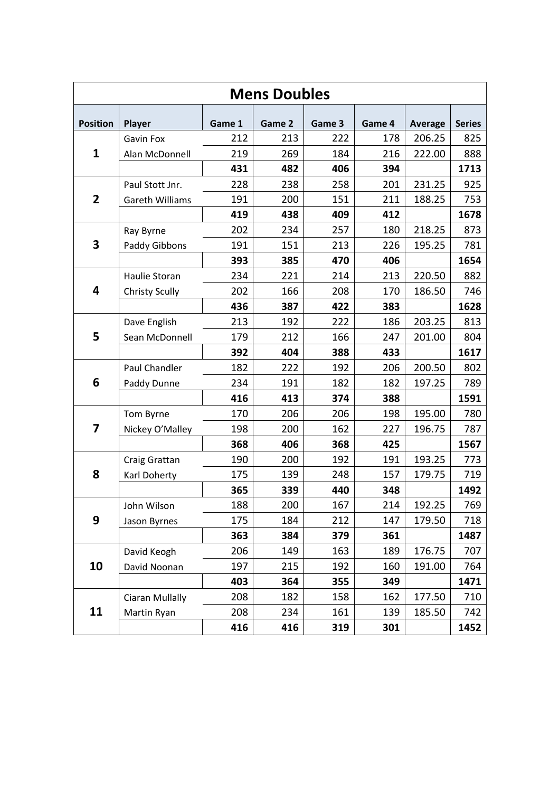|                 |                       |        | <b>Mens Doubles</b> |        |        |                |               |
|-----------------|-----------------------|--------|---------------------|--------|--------|----------------|---------------|
| <b>Position</b> | Player                | Game 1 | Game 2              | Game 3 | Game 4 | <b>Average</b> | <b>Series</b> |
|                 | <b>Gavin Fox</b>      | 212    | 213                 | 222    | 178    | 206.25         | 825           |
| $\mathbf{1}$    | Alan McDonnell        | 219    | 269                 | 184    | 216    | 222.00         | 888           |
|                 |                       | 431    | 482                 | 406    | 394    |                | 1713          |
|                 | Paul Stott Jnr.       | 228    | 238                 | 258    | 201    | 231.25         | 925           |
| $\mathbf{2}$    | Gareth Williams       | 191    | 200                 | 151    | 211    | 188.25         | 753           |
|                 |                       | 419    | 438                 | 409    | 412    |                | 1678          |
|                 | Ray Byrne             | 202    | 234                 | 257    | 180    | 218.25         | 873           |
| 3               | Paddy Gibbons         | 191    | 151                 | 213    | 226    | 195.25         | 781           |
|                 |                       | 393    | 385                 | 470    | 406    |                | 1654          |
|                 | <b>Haulie Storan</b>  | 234    | 221                 | 214    | 213    | 220.50         | 882           |
| 4               | <b>Christy Scully</b> | 202    | 166                 | 208    | 170    | 186.50         | 746           |
|                 |                       | 436    | 387                 | 422    | 383    |                | 1628          |
|                 | Dave English          | 213    | 192                 | 222    | 186    | 203.25         | 813           |
| 5               | Sean McDonnell        | 179    | 212                 | 166    | 247    | 201.00         | 804           |
|                 |                       | 392    | 404                 | 388    | 433    |                | 1617          |
|                 | Paul Chandler         | 182    | 222                 | 192    | 206    | 200.50         | 802           |
| 6               | Paddy Dunne           | 234    | 191                 | 182    | 182    | 197.25         | 789           |
|                 |                       | 416    | 413                 | 374    | 388    |                | 1591          |
|                 | Tom Byrne             | 170    | 206                 | 206    | 198    | 195.00         | 780           |
| 7               | Nickey O'Malley       | 198    | 200                 | 162    | 227    | 196.75         | 787           |
|                 |                       | 368    | 406                 | 368    | 425    |                | 1567          |
|                 | Craig Grattan         | 190    | 200                 | 192    | 191    | 193.25         | 773           |
| 8               | Karl Doherty          | 175    | 139                 | 248    | 157    | 179.75         | 719           |
|                 |                       | 365    | 339                 | 440    | 348    |                | 1492          |
|                 | John Wilson           | 188    | 200                 | 167    | 214    | 192.25         | 769           |
| 9               | Jason Byrnes          | 175    | 184                 | 212    | 147    | 179.50         | 718           |
|                 |                       | 363    | 384                 | 379    | 361    |                | 1487          |
|                 | David Keogh           | 206    | 149                 | 163    | 189    | 176.75         | 707           |
| 10              | David Noonan          | 197    | 215                 | 192    | 160    | 191.00         | 764           |
|                 |                       | 403    | 364                 | 355    | 349    |                | 1471          |
|                 | Ciaran Mullally       | 208    | 182                 | 158    | 162    | 177.50         | 710           |
| 11              | Martin Ryan           | 208    | 234                 | 161    | 139    | 185.50         | 742           |
|                 |                       | 416    | 416                 | 319    | 301    |                | 1452          |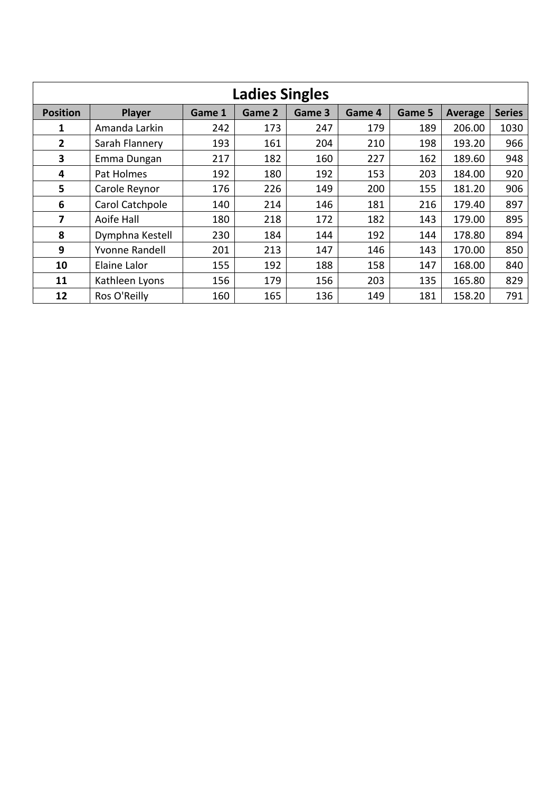|                 |                       |        | <b>Ladies Singles</b> |        |        |        |         |               |
|-----------------|-----------------------|--------|-----------------------|--------|--------|--------|---------|---------------|
| <b>Position</b> | <b>Player</b>         | Game 1 | Game 2                | Game 3 | Game 4 | Game 5 | Average | <b>Series</b> |
| 1               | Amanda Larkin         | 242    | 173                   | 247    | 179    | 189    | 206.00  | 1030          |
| $\overline{2}$  | Sarah Flannery        | 193    | 161                   | 204    | 210    | 198    | 193.20  | 966           |
| 3               | Emma Dungan           | 217    | 182                   | 160    | 227    | 162    | 189.60  | 948           |
| 4               | Pat Holmes            | 192    | 180                   | 192    | 153    | 203    | 184.00  | 920           |
| $5\phantom{1}$  | Carole Reynor         | 176    | 226                   | 149    | 200    | 155    | 181.20  | 906           |
| 6               | Carol Catchpole       | 140    | 214                   | 146    | 181    | 216    | 179.40  | 897           |
| 7               | Aoife Hall            | 180    | 218                   | 172    | 182    | 143    | 179.00  | 895           |
| 8               | Dymphna Kestell       | 230    | 184                   | 144    | 192    | 144    | 178.80  | 894           |
| 9               | <b>Yvonne Randell</b> | 201    | 213                   | 147    | 146    | 143    | 170.00  | 850           |
| 10              | Elaine Lalor          | 155    | 192                   | 188    | 158    | 147    | 168.00  | 840           |
| 11              | Kathleen Lyons        | 156    | 179                   | 156    | 203    | 135    | 165.80  | 829           |
| 12              | Ros O'Reilly          | 160    | 165                   | 136    | 149    | 181    | 158.20  | 791           |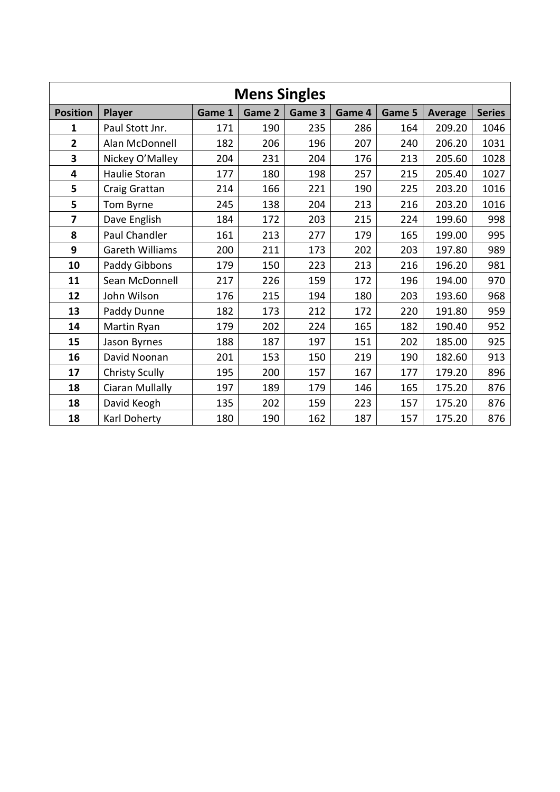|                         |                        |        | <b>Mens Singles</b> |        |        |        |                |               |
|-------------------------|------------------------|--------|---------------------|--------|--------|--------|----------------|---------------|
| <b>Position</b>         | Player                 | Game 1 | Game 2              | Game 3 | Game 4 | Game 5 | <b>Average</b> | <b>Series</b> |
| 1                       | Paul Stott Jnr.        | 171    | 190                 | 235    | 286    | 164    | 209.20         | 1046          |
| $\overline{\mathbf{2}}$ | Alan McDonnell         | 182    | 206                 | 196    | 207    | 240    | 206.20         | 1031          |
| 3                       | Nickey O'Malley        | 204    | 231                 | 204    | 176    | 213    | 205.60         | 1028          |
| 4                       | Haulie Storan          | 177    | 180                 | 198    | 257    | 215    | 205.40         | 1027          |
| 5                       | Craig Grattan          | 214    | 166                 | 221    | 190    | 225    | 203.20         | 1016          |
| 5                       | Tom Byrne              | 245    | 138                 | 204    | 213    | 216    | 203.20         | 1016          |
| $\overline{7}$          | Dave English           | 184    | 172                 | 203    | 215    | 224    | 199.60         | 998           |
| 8                       | Paul Chandler          | 161    | 213                 | 277    | 179    | 165    | 199.00         | 995           |
| 9                       | <b>Gareth Williams</b> | 200    | 211                 | 173    | 202    | 203    | 197.80         | 989           |
| 10                      | Paddy Gibbons          | 179    | 150                 | 223    | 213    | 216    | 196.20         | 981           |
| 11                      | Sean McDonnell         | 217    | 226                 | 159    | 172    | 196    | 194.00         | 970           |
| 12                      | John Wilson            | 176    | 215                 | 194    | 180    | 203    | 193.60         | 968           |
| 13                      | Paddy Dunne            | 182    | 173                 | 212    | 172    | 220    | 191.80         | 959           |
| 14                      | Martin Ryan            | 179    | 202                 | 224    | 165    | 182    | 190.40         | 952           |
| 15                      | Jason Byrnes           | 188    | 187                 | 197    | 151    | 202    | 185.00         | 925           |
| 16                      | David Noonan           | 201    | 153                 | 150    | 219    | 190    | 182.60         | 913           |
| 17                      | <b>Christy Scully</b>  | 195    | 200                 | 157    | 167    | 177    | 179.20         | 896           |
| 18                      | Ciaran Mullally        | 197    | 189                 | 179    | 146    | 165    | 175.20         | 876           |
| 18                      | David Keogh            | 135    | 202                 | 159    | 223    | 157    | 175.20         | 876           |
| 18                      | Karl Doherty           | 180    | 190                 | 162    | 187    | 157    | 175.20         | 876           |